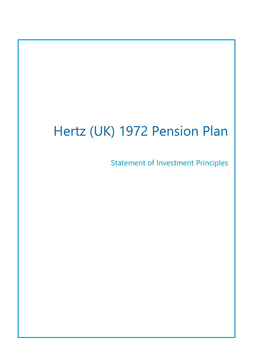# Hertz (UK) 1972 Pension Plan

Statement of Investment Principles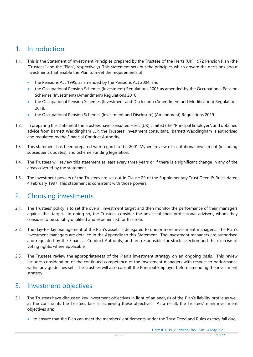# 1. Introduction

- 1.1. This is the Statement of Investment Principles prepared by the Trustees of the Hertz (UK) 1972 Pension Plan (the "Trustees" and the "Plan", respectively). This statement sets out the principles which govern the decisions about investments that enable the Plan to meet the requirements of:
	- the Pensions Act 1995, as amended by the Pensions Act 2004; and
	- the Occupational Pension Schemes (Investment) Regulations 2005 as amended by the Occupational Pension Schemes (Investment) (Amendment) Regulations 2010.
	- the Occupational Pension Schemes (Investment and Disclosure) (Amendment and Modification) Regulations 2018.
	- the Occupational Pension Schemes (Investment and Disclosure) (Amendment) Regulations 2019.
- 1.2. In preparing this statement the Trustees have consulted Hertz (UK) Limited (the "Principal Employer", and obtained advice from Barnett Waddingham LLP, the Trustees' investment consultant. Barnett Waddingham is authorised and regulated by the Financial Conduct Authority.
- 1.3. This statement has been prepared with regard to the 2001 Myners review of institutional investment (including subsequent updates), and Scheme Funding legislation.
- 1.4. The Trustees will review this statement at least every three years or if there is a significant change in any of the areas covered by the statement.
- 1.5. The investment powers of the Trustees are set out in Clause 29 of the Supplementary Trust Deed & Rules dated 4 February 1997. This statement is consistent with those powers.

## 2. Choosing investments

- 2.1. The Trustees' policy is to set the overall investment target and then monitor the performance of their managers against that target. In doing so, the Trustees consider the advice of their professional advisers, whom they consider to be suitably qualified and experienced for this role.
- 2.2. The day-to-day management of the Plan's assets is delegated to one or more investment managers. The Plan's investment managers are detailed in the Appendix to this Statement. The investment managers are authorised and regulated by the Financial Conduct Authority, and are responsible for stock selection and the exercise of voting rights, where applicable.
- 2.3. The Trustees review the appropriateness of the Plan's investment strategy on an ongoing basis. This review includes consideration of the continued competence of the investment managers with respect to performance within any guidelines set. The Trustees will also consult the Principal Employer before amending the investment strategy.

# 3. Investment objectives

- 3.1. The Trustees have discussed key investment objectives in light of an analysis of the Plan's liability profile as well as the constraints the Trustees face in achieving these objectives. As a result, the Trustees' main investment objectives are:
	- to ensure that the Plan can meet the members' entitlements under the Trust Deed and Rules as they fall due;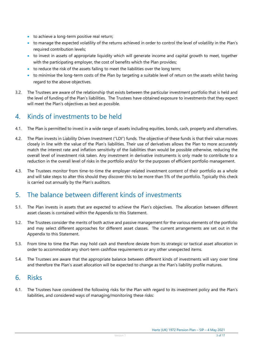- to achieve a long-term positive real return;
- to manage the expected volatility of the returns achieved in order to control the level of volatility in the Plan's required contribution levels;
- to invest in assets of appropriate liquidity which will generate income and capital growth to meet, together with the participating employer, the cost of benefits which the Plan provides;
- to reduce the risk of the assets failing to meet the liabilities over the long term;
- to minimise the long-term costs of the Plan by targeting a suitable level of return on the assets whilst having regard to the above objectives.
- 3.2. The Trustees are aware of the relationship that exists between the particular investment portfolio that is held and the level of funding of the Plan's liabilities. The Trustees have obtained exposure to investments that they expect will meet the Plan's objectives as best as possible.

# 4. Kinds of investments to be held

- 4.1. The Plan is permitted to invest in a wide range of assets including equities, bonds, cash, property and alternatives.
- 4.2. The Plan invests in Liability Driven Investment ("LDI") funds. The objective of these funds is that their value moves closely in line with the value of the Plan's liabilities. Their use of derivatives allows the Plan to more accurately match the interest rate and inflation sensitivity of the liabilities than would be possible otherwise, reducing the overall level of investment risk taken. Any investment in derivative instruments is only made to contribute to a reduction in the overall level of risks in the portfolio and/or for the purposes of efficient portfolio management.
- 4.3. The Trustees monitor from time-to-time the employer-related investment content of their portfolio as a whole and will take steps to alter this should they discover this to be more than 5% of the portfolio. Typically this check is carried out annually by the Plan's auditors.

# 5. The balance between different kinds of investments

- 5.1. The Plan invests in assets that are expected to achieve the Plan's objectives. The allocation between different asset classes is contained within the Appendix to this Statement.
- 5.2. The Trustees consider the merits of both active and passive management for the various elements of the portfolio and may select different approaches for different asset classes. The current arrangements are set out in the Appendix to this Statement.
- 5.3. From time to time the Plan may hold cash and therefore deviate from its strategic or tactical asset allocation in order to accommodate any short-term cashflow requirements or any other unexpected items.
- 5.4. The Trustees are aware that the appropriate balance between different kinds of investments will vary over time and therefore the Plan's asset allocation will be expected to change as the Plan's liability profile matures.

# 6. Risks

6.1. The Trustees have considered the following risks for the Plan with regard to its investment policy and the Plan's liabilities, and considered ways of managing/monitoring these risks: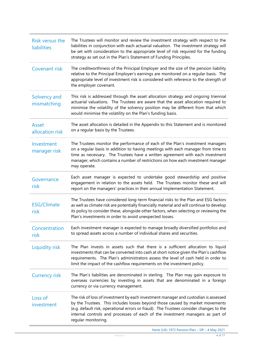| Risk versus the<br>liabilities | The Trustees will monitor and review the investment strategy with respect to the<br>liabilities in conjunction with each actuarial valuation. The investment strategy will<br>be set with consideration to the appropriate level of risk required for the funding<br>strategy as set out in the Plan's Statement of Funding Principles.                                |
|--------------------------------|------------------------------------------------------------------------------------------------------------------------------------------------------------------------------------------------------------------------------------------------------------------------------------------------------------------------------------------------------------------------|
| Covenant risk                  | The creditworthiness of the Principal Employer and the size of the pension liability<br>relative to the Principal Employer's earnings are monitored on a regular basis. The<br>appropriate level of investment risk is considered with reference to the strength of<br>the employer covenant.                                                                          |
| Solvency and<br>mismatching    | This risk is addressed through the asset allocation strategy and ongoing triennial<br>actuarial valuations. The Trustees are aware that the asset allocation required to<br>minimise the volatility of the solvency position may be different from that which<br>would minimise the volatility on the Plan's funding basis.                                            |
| Asset<br>allocation risk       | The asset allocation is detailed in the Appendix to this Statement and is monitored<br>on a regular basis by the Trustees.                                                                                                                                                                                                                                             |
| Investment<br>manager risk     | The Trustees monitor the performance of each of the Plan's investment managers<br>on a regular basis in addition to having meetings with each manager from time to<br>time as necessary. The Trustees have a written agreement with each investment<br>manager, which contains a number of restrictions on how each investment manager<br>may operate.                 |
| Governance<br>risk             | Each asset manager is expected to undertake good stewardship and positive<br>engagement in relation to the assets held. The Trustees monitor these and will<br>report on the managers' practices in their annual Implementation Statement.                                                                                                                             |
| <b>ESG/Climate</b><br>risk     | The Trustees have considered long-term financial risks to the Plan and ESG factors<br>as well as climate risk are potentially financially material and will continue to develop<br>its policy to consider these, alongside other factors, when selecting or reviewing the<br>Plan's investments in order to avoid unexpected losses.                                   |
| Concentration<br>risk          | Each investment manager is expected to manage broadly diversified portfolios and<br>to spread assets across a number of individual shares and securities.                                                                                                                                                                                                              |
| <b>Liquidity risk</b>          | The Plan invests in assets such that there is a sufficient allocation to liquid<br>investments that can be converted into cash at short notice given the Plan's cashflow<br>requirements. The Plan's administrators assess the level of cash held in order to<br>limit the impact of the cashflow requirements on the investment policy.                               |
| <b>Currency risk</b>           | The Plan's liabilities are denominated in sterling. The Plan may gain exposure to<br>overseas currencies by investing in assets that are denominated in a foreign<br>currency or via currency management.                                                                                                                                                              |
| Loss of<br>investment          | The risk of loss of investment by each investment manager and custodian is assessed<br>by the Trustees. This includes losses beyond those caused by market movements<br>(e.g. default risk, operational errors or fraud). The Trustees consider changes to the<br>internal controls and processes of each of the investment managers as part of<br>regular monitoring. |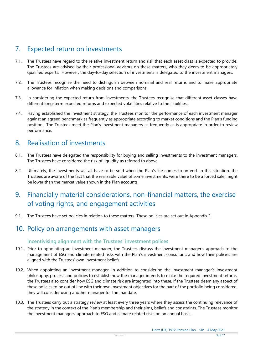# 7. Expected return on investments

- 7.1. The Trustees have regard to the relative investment return and risk that each asset class is expected to provide. The Trustees are advised by their professional advisors on these matters, who they deem to be appropriately qualified experts. However, the day-to-day selection of investments is delegated to the investment managers.
- 7.2. The Trustees recognise the need to distinguish between nominal and real returns and to make appropriate allowance for inflation when making decisions and comparisons.
- 7.3. In considering the expected return from investments, the Trustees recognise that different asset classes have different long-term expected returns and expected volatilities relative to the liabilities.
- 7.4. Having established the investment strategy, the Trustees monitor the performance of each investment manager against an agreed benchmark as frequently as appropriate according to market conditions and the Plan's funding position. The Trustees meet the Plan's investment managers as frequently as is appropriate in order to review performance.

# 8. Realisation of investments

- 8.1. The Trustees have delegated the responsibility for buying and selling investments to the investment managers. The Trustees have considered the risk of liquidity as referred to above.
- 8.2. Ultimately, the investments will all have to be sold when the Plan's life comes to an end. In this situation, the Trustees are aware of the fact that the realisable value of some investments, were there to be a forced sale, might be lower than the market value shown in the Plan accounts.
- 9. Financially material considerations, non-financial matters, the exercise of voting rights, and engagement activities
- 9.1. The Trustees have set policies in relation to these matters. These policies are set out in Appendix 2.

# 10. Policy on arrangements with asset managers

#### **Incentivising alignment with the Trustees' investment polices**

- 10.1. Prior to appointing an investment manager, the Trustees discuss the investment manager's approach to the management of ESG and climate related risks with the Plan's investment consultant, and how their policies are aligned with the Trustees' own investment beliefs.
- 10.2. When appointing an investment manager, in addition to considering the investment manager's investment philosophy, process and policies to establish how the manager intends to make the required investment returns, the Trustees also consider how ESG and climate risk are integrated into these. If the Trustees deem any aspect of these policies to be out of line with their own investment objectives for the part of the portfolio being considered, they will consider using another manager for the mandate.
- 10.3. The Trustees carry out a strategy review at least every three years where they assess the continuing relevance of the strategy in the context of the Plan's membership and their aims, beliefs and constraints. The Trustees monitor the investment managers' approach to ESG and climate related risks on an annual basis.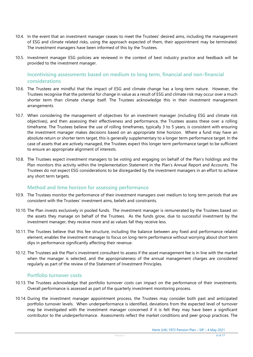- 10.4. In the event that an investment manager ceases to meet the Trustees' desired aims, including the management of ESG and climate related risks, using the approach expected of them, their appointment may be terminated. The investment managers have been informed of this by the Trustees.
- 10.5. Investment manager ESG policies are reviewed in the context of best industry practice and feedback will be provided to the investment manager.

#### **Incentivising assessments based on medium to long term, financial and non-financial considerations**

- 10.6. The Trustees are mindful that the impact of ESG and climate change has a long-term nature. However, the Trustees recognise that the potential for change in value as a result of ESG and climate risk may occur over a much shorter term than climate change itself. The Trustees acknowledge this in their investment management arrangements.
- 10.7. When considering the management of objectives for an investment manager (including ESG and climate risk objectives), and then assessing their effectiveness and performance, the Trustees assess these over a rolling timeframe. The Trustees believe the use of rolling timeframes, typically 3 to 5 years, is consistent with ensuring the investment manager makes decisions based on an appropriate time horizon. Where a fund may have an absolute return or shorter term target, this is generally supplementary to a longer term performance target. In the case of assets that are actively managed, the Trustees expect this longer term performance target to be sufficient to ensure an appropriate alignment of interests.
- 10.8. The Trustees expect investment managers to be voting and engaging on behalf of the Plan's holdings and the Plan monitors this activity within the Implementation Statement in the Plan's Annual Report and Accounts. The Trustees do not expect ESG considerations to be disregarded by the investment managers in an effort to achieve any short term targets.

#### **Method and time horizon for assessing performance**

- 10.9. The Trustees monitor the performance of their investment managers over medium to long term periods that are consistent with the Trustees' investment aims, beliefs and constraints.
- 10.10. The Plan invests exclusively in pooled funds. The investment manager is remunerated by the Trustees based on the assets they manage on behalf of the Trustees. As the funds grow, due to successful investment by the investment manager, they receive more and as values fall they receive less.
- 10.11. The Trustees believe that this fee structure, including the balance between any fixed and performance related element, enables the investment manager to focus on long-term performance without worrying about short term dips in performance significantly affecting their revenue.
- 10.12. The Trustees ask the Plan's investment consultant to assess if the asset management fee is in line with the market when the manager is selected, and the appropriateness of the annual management charges are considered regularly as part of the review of the Statement of Investment Principles.

#### **Portfolio turnover costs**

- 10.13. The Trustees acknowledge that portfolio turnover costs can impact on the performance of their investments. Overall performance is assessed as part of the quarterly investment monitoring process.
- 10.14. During the investment manager appointment process, the Trustees may consider both past and anticipated portfolio turnover levels. When underperformance is identified, deviations from the expected level of turnover may be investigated with the investment manager concerned if it is felt they may have been a significant contributor to the underperformance. Assessments reflect the market conditions and peer group practices. The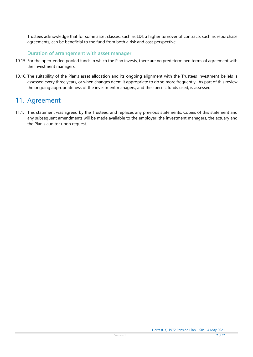Trustees acknowledge that for some asset classes, such as LDI, a higher turnover of contracts such as repurchase agreements, can be beneficial to the fund from both a risk and cost perspective.

#### **Duration of arrangement with asset manager**

- 10.15. For the open-ended pooled funds in which the Plan invests, there are no predetermined terms of agreement with the investment managers.
- 10.16. The suitability of the Plan's asset allocation and its ongoing alignment with the Trustees investment beliefs is assessed every three years, or when changes deem it appropriate to do so more frequently. As part of this review the ongoing appropriateness of the investment managers, and the specific funds used, is assessed.

## 11. Agreement

11.1. This statement was agreed by the Trustees, and replaces any previous statements. Copies of this statement and any subsequent amendments will be made available to the employer, the investment managers, the actuary and the Plan's auditor upon request.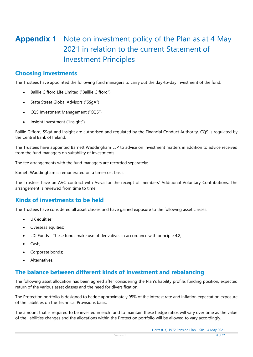# **Appendix 1** Note on investment policy of the Plan as at 4 May 2021 in relation to the current Statement of Investment Principles

#### **Choosing investments**

The Trustees have appointed the following fund managers to carry out the day-to-day investment of the fund:

- Baillie Gifford Life Limited ("Baillie Gifford")
- State Street Global Advisors ("SSgA")
- CQS Investment Management ("CQS")
- Insight Investment ("Insight")

Baillie Gifford, SSgA and Insight are authorised and regulated by the Financial Conduct Authority. CQS is regulated by the Central Bank of Ireland.

The Trustees have appointed Barnett Waddingham LLP to advise on investment matters in addition to advice received from the fund managers on suitability of investments.

The fee arrangements with the fund managers are recorded separately:

Barnett Waddingham is remunerated on a time-cost basis.

The Trustees have an AVC contract with Aviva for the receipt of members' Additional Voluntary Contributions. The arrangement is reviewed from time to time.

#### **Kinds of investments to be held**

The Trustees have considered all asset classes and have gained exposure to the following asset classes:

- UK equities;
- Overseas equities;
- LDI Funds These funds make use of derivatives in accordance with principle 4.2;
- Cash;
- Corporate bonds;
- Alternatives.

#### **The balance between different kinds of investment and rebalancing**

The following asset allocation has been agreed after considering the Plan's liability profile, funding position, expected return of the various asset classes and the need for diversification.

The Protection portfolio is designed to hedge approximately 95% of the interest rate and inflation expectation exposure of the liabilities on the Technical Provisions basis.

The amount that is required to be invested in each fund to maintain these hedge ratios will vary over time as the value of the liabilities changes and the allocations within the Protection portfolio will be allowed to vary accordingly.

Hertz (UK) 1972 Pension Plan – SIP – 4 May 2021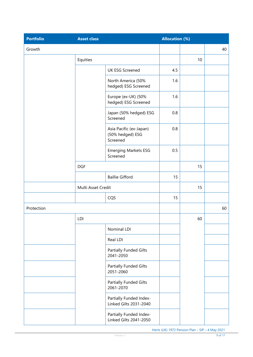| <b>Portfolio</b> | <b>Asset class</b> |                                                         | <b>Allocation (%)</b> |    |    |
|------------------|--------------------|---------------------------------------------------------|-----------------------|----|----|
| Growth           |                    |                                                         |                       |    | 40 |
|                  | Equities           |                                                         |                       | 10 |    |
|                  |                    | <b>UK ESG Screened</b>                                  | 4.5                   |    |    |
|                  |                    | North America (50%<br>hedged) ESG Screened              | 1.6                   |    |    |
|                  |                    | Europe (ex-UK) (50%<br>hedged) ESG Screened             | 1.6                   |    |    |
|                  |                    | Japan (50% hedged) ESG<br>Screened                      | 0.8                   |    |    |
|                  |                    | Asia Pacific (ex-Japan)<br>(50% hedged) ESG<br>Screened | 0.8                   |    |    |
|                  |                    | <b>Emerging Markets ESG</b><br>Screened                 | 0.5                   |    |    |
|                  | <b>DGF</b>         |                                                         |                       | 15 |    |
|                  |                    | <b>Baillie Gifford</b>                                  | 15                    |    |    |
|                  | Multi Asset Credit |                                                         |                       | 15 |    |
|                  |                    | CQS                                                     | 15                    |    |    |
| Protection       |                    |                                                         |                       |    | 60 |
|                  | LDI                |                                                         |                       | 60 |    |
|                  |                    | Nominal LDI                                             |                       |    |    |
|                  |                    | Real LDI                                                |                       |    |    |
|                  |                    | Partially Funded Gilts<br>2041-2050                     |                       |    |    |
|                  |                    | <b>Partially Funded Gilts</b><br>2051-2060              |                       |    |    |
|                  |                    | Partially Funded Gilts<br>2061-2070                     |                       |    |    |
|                  |                    | Partially Funded Index-<br>Linked Gilts 2031-2040       |                       |    |    |
|                  |                    | Partially Funded Index-<br>Linked Gilts 2041-2050       |                       |    |    |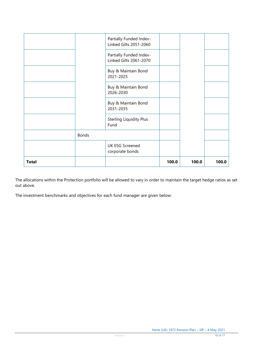| <b>Total</b> |              |                                                   | 100.0 | 100.0 | 100.0 |
|--------------|--------------|---------------------------------------------------|-------|-------|-------|
|              |              | <b>UK ESG Screened</b><br>corporate bonds         |       |       |       |
|              | <b>Bonds</b> |                                                   |       |       |       |
|              |              | <b>Sterling Liquidity Plus</b><br>Fund            |       |       |       |
|              |              | Buy & Maintain Bond<br>2031-2035                  |       |       |       |
|              |              | Buy & Maintain Bond<br>2026-2030                  |       |       |       |
|              |              | Buy & Maintain Bond<br>2021-2025                  |       |       |       |
|              |              | Partially Funded Index-<br>Linked Gilts 2061-2070 |       |       |       |
|              |              | Partially Funded Index-<br>Linked Gilts 2051-2060 |       |       |       |

The allocations within the Protection portfolio will be allowed to vary in order to maintain the target hedge ratios as set out above.

The investment benchmarks and objectives for each fund manager are given below: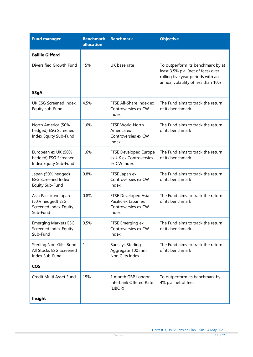| <b>Fund manager</b>                                                            | <b>Benchmark</b><br>allocation | <b>Benchmark</b>                                                           | <b>Objective</b>                                                                                                                                   |
|--------------------------------------------------------------------------------|--------------------------------|----------------------------------------------------------------------------|----------------------------------------------------------------------------------------------------------------------------------------------------|
| <b>Baillie Gifford</b>                                                         |                                |                                                                            |                                                                                                                                                    |
| Diversified Growth Fund                                                        | 15%                            | UK base rate                                                               | To outperform its benchmark by at<br>least 3.5% p.a. (net of fees) over<br>rolling five year periods with an<br>annual volatility of less than 10% |
| <b>SSgA</b>                                                                    |                                |                                                                            |                                                                                                                                                    |
| UK ESG Screened Index<br>Equity sub-Fund                                       | 4.5%                           | FTSE All-Share Index ex<br>Controversies ex CW<br>Index                    | The Fund aims to track the return<br>of its benchmark                                                                                              |
| North America (50%<br>hedged) ESG Screened<br>Index Equity Sub-Fund            | 1.6%                           | <b>FTSE World North</b><br>America ex<br>Controversies ex CW<br>Index      | The Fund aims to track the return<br>of its benchmark                                                                                              |
| European ex UK (50%<br>hedged) ESG Screened<br>Index Equity Sub-Fund           | 1.6%                           | FTSE Developed Europe<br>ex UK ex Controversies<br>ex CW Index             | The Fund aims to track the return<br>of its benchmark                                                                                              |
| Japan (50% hedged)<br><b>ESG Screened Index</b><br>Equity Sub-Fund             | 0.8%                           | FTSE Japan ex<br>Controversies ex CW<br>Index                              | The Fund aims to track the return<br>of its benchmark                                                                                              |
| Asia Pacific ex Japan<br>(50% hedged) ESG<br>Screened Index Equity<br>Sub-Fund | 0.8%                           | FTSE Developed Asia<br>Pacific ex Japan ex<br>Controversies ex CW<br>Index | The Fund aims to track the return<br>of its benchmark                                                                                              |
| <b>Emerging Markets ESG</b><br>Screened Index Equity<br>Sub-Fund               | 0.5%                           | FTSE Emerging ex<br>Controversies ex CW<br>Index                           | The Fund aims to track the return<br>of its benchmark                                                                                              |
| Sterling Non-Gilts Bond<br>All Stocks ESG Screened<br>Index Sub-Fund           | $^\star$                       | <b>Barclays Sterling</b><br>Aggregate 100 mm<br>Non Gilts Index            | The Fund aims to track the return<br>of its benchmark                                                                                              |
| <b>CQS</b>                                                                     |                                |                                                                            |                                                                                                                                                    |
| Credit Multi Asset Fund                                                        | 15%                            | 1 month GBP London<br>Interbank Offered Rate<br>(LIBOR)                    | To outperform its benchmark by<br>4% p.a. net of fees                                                                                              |
| Insight                                                                        |                                |                                                                            |                                                                                                                                                    |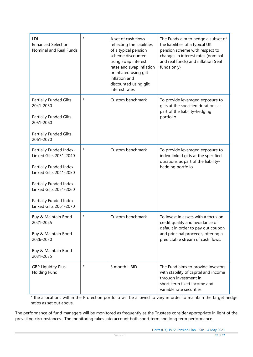| LDI<br><b>Enhanced Selection</b><br>Nominal and Real Funds                                                                                                  | $\star$  | A set of cash flows<br>reflecting the liabilities<br>of a typical pension<br>scheme discounted<br>using swap interest<br>rates and swap inflation<br>or inflated using gilt<br>inflation and<br>discounted using gilt<br>interest rates | The Funds aim to hedge a subset of<br>the liabilities of a typical UK<br>pension scheme with respect to<br>changes in interest rates (nominal<br>and real funds) and inflation (real<br>funds only) |  |
|-------------------------------------------------------------------------------------------------------------------------------------------------------------|----------|-----------------------------------------------------------------------------------------------------------------------------------------------------------------------------------------------------------------------------------------|-----------------------------------------------------------------------------------------------------------------------------------------------------------------------------------------------------|--|
| Partially Funded Gilts<br>2041-2050<br><b>Partially Funded Gilts</b><br>2051-2060                                                                           | $^\star$ | Custom benchmark                                                                                                                                                                                                                        | To provide leveraged exposure to<br>gilts at the specified durations as<br>part of the liability-hedging<br>portfolio                                                                               |  |
| <b>Partially Funded Gilts</b><br>2061-2070                                                                                                                  |          |                                                                                                                                                                                                                                         |                                                                                                                                                                                                     |  |
| Partially Funded Index-<br>Linked Gilts 2031-2040<br>Partially Funded Index-<br>Linked Gilts 2041-2050<br>Partially Funded Index-<br>Linked Gilts 2051-2060 | $^\star$ | Custom benchmark                                                                                                                                                                                                                        | To provide leveraged exposure to<br>index-linked gilts at the specified<br>durations as part of the liability-<br>hedging portfolio                                                                 |  |
| Partially Funded Index-<br>Linked Gilts 2061-2070                                                                                                           |          |                                                                                                                                                                                                                                         |                                                                                                                                                                                                     |  |
| Buy & Maintain Bond<br>2021-2025<br>Buy & Maintain Bond<br>2026-2030<br>Buy & Maintain Bond<br>2031-2035                                                    | $^\star$ | Custom benchmark                                                                                                                                                                                                                        | To invest in assets with a focus on<br>credit quality and avoidance of<br>default in order to pay out coupon<br>and principal proceeds, offering a<br>predictable stream of cash flows.             |  |
| <b>GBP Liquidity Plus</b><br>Holding Fund                                                                                                                   | $^\star$ | 3 month LIBID                                                                                                                                                                                                                           | The Fund aims to provide investors<br>with stability of capital and income<br>through investment in<br>short-term fixed income and<br>variable rate securities.                                     |  |

\* the allocations within the Protection portfolio will be allowed to vary in order to maintain the target hedge ratios as set out above.

The performance of fund managers will be monitored as frequently as the Trustees consider appropriate in light of the prevailing circumstances. The monitoring takes into account both short term and long term performance.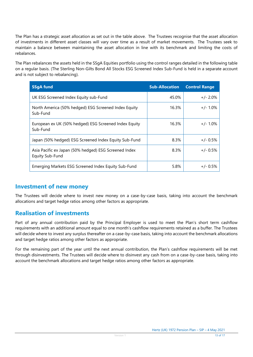The Plan has a strategic asset allocation as set out in the table above. The Trustees recognise that the asset allocation of investments in different asset classes will vary over time as a result of market movements. The Trustees seek to maintain a balance between maintaining the asset allocation in line with its benchmark and limiting the costs of rebalances.

The Plan rebalances the assets held in the SSqA Equities portfolio using the control ranges detailed in the following table on a regular basis. (The Sterling Non-Gilts Bond All Stocks ESG Screened Index Sub-Fund is held in a separate account and is not subject to rebalancing).

| <b>SSgA fund</b>                                                         | <b>Sub-Allocation</b> | <b>Control Range</b> |
|--------------------------------------------------------------------------|-----------------------|----------------------|
| UK ESG Screened Index Equity sub-Fund                                    | 45.0%                 | $+/- 2.0\%$          |
| North America (50% hedged) ESG Screened Index Equity<br>Sub-Fund         | 16.3%                 | $+/- 1.0\%$          |
| European ex UK (50% hedged) ESG Screened Index Equity<br>Sub-Fund        | 16.3%                 | $+/- 1.0\%$          |
| Japan (50% hedged) ESG Screened Index Equity Sub-Fund                    | 8.3%                  | $+/- 0.5%$           |
| Asia Pacific ex Japan (50% hedged) ESG Screened Index<br>Equity Sub-Fund | 8.3%                  | $+/- 0.5%$           |
| Emerging Markets ESG Screened Index Equity Sub-Fund                      | 5.8%                  | $+/- 0.5\%$          |

#### **Investment of new money**

The Trustees will decide where to invest new money on a case-by-case basis, taking into account the benchmark allocations and target hedge ratios among other factors as appropriate.

#### **Realisation of investments**

Part of any annual contribution paid by the Principal Employer is used to meet the Plan's short term cashflow requirements with an additional amount equal to one month's cashflow requirements retained as a buffer. The Trustees will decide where to invest any surplus thereafter on a case-by-case basis, taking into account the benchmark allocations and target hedge ratios among other factors as appropriate.

For the remaining part of the year until the next annual contribution, the Plan's cashflow requirements will be met through disinvestments. The Trustees will decide where to disinvest any cash from on a case-by-case basis, taking into account the benchmark allocations and target hedge ratios among other factors as appropriate.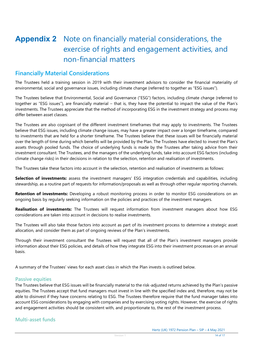# **Appendix 2** Note on financially material considerations, the exercise of rights and engagement activities, and non-financial matters

#### **Financially Material Considerations**

The Trustees held a training session in 2019 with their investment advisors to consider the financial materiality of environmental, social and governance issues, including climate change (referred to together as "ESG issues").

The Trustees believe that Environmental, Social and Governance ("ESG") factors, including climate change (referred to together as "ESG issues"), are financially material – that is, they have the potential to impact the value of the Plan's investments. The Trustees appreciate that the method of incorporating ESG in the investment strategy and process may differ between asset classes.

The Trustees are also cognisant of the different investment timeframes that may apply to investments. The Trustees believe that ESG issues, including climate change issues, may have a greater impact over a longer timeframe, compared to investments that are held for a shorter timeframe. The Trustees believe that these issues will be financially material over the length of time during which benefits will be provided by the Plan. The Trustees have elected to invest the Plan's assets through pooled funds. The choice of underlying funds is made by the Trustees after taking advice from their investment consultant. The Trustees, and the managers of the underlying funds, take into account ESG factors (including climate change risks) in their decisions in relation to the selection, retention and realisation of investments.

The Trustees take these factors into account in the selection, retention and realisation of investments as follows:

**Selection of investments:** assess the investment managers' ESG integration credentials and capabilities, including stewardship, as a routine part of requests for information/proposals as well as through other regular reporting channels.

**Retention of investments:** Developing a robust monitoring process in order to monitor ESG considerations on an ongoing basis by regularly seeking information on the policies and practices of the investment managers.

**Realisation of investments:** The Trustees will request information from investment managers about how ESG considerations are taken into account in decisions to realise investments.

The Trustees will also take those factors into account as part of its investment process to determine a strategic asset allocation, and consider them as part of ongoing reviews of the Plan's investments.

Through their investment consultant the Trustees will request that all of the Plan's investment managers provide information about their ESG policies, and details of how they integrate ESG into their investment processes on an annual basis.

A summary of the Trustees' views for each asset class in which the Plan invests is outlined below.

#### **Passive equities**

The Trustees believe that ESG issues will be financially material to the risk-adjusted returns achieved by the Plan's passive equities. The Trustees accept that fund managers must invest in line with the specified index and, therefore, may not be able to disinvest if they have concerns relating to ESG. The Trustees therefore require that the fund manager takes into account ESG considerations by engaging with companies and by exercising voting rights. However, the exercise of rights and engagement activities should be consistent with, and proportionate to, the rest of the investment process.

#### **Multi-asset funds**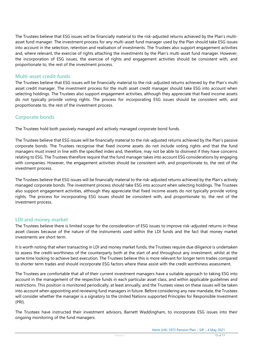The Trustees believe that ESG issues will be financially material to the risk-adjusted returns achieved by the Plan's multiasset fund manager. The investment process for any multi-asset fund manager used by the Plan should take ESG issues into account in the selection, retention and realisation of investments. The Trustees also support engagement activities and, where relevant, the exercise of rights attaching the investments by the Plan's multi-asset fund manager. However, the incorporation of ESG issues, the exercise of rights and engagement activities should be consistent with, and proportionate to, the rest of the investment process.

#### **Multi-asset credit funds**

The Trustees believe that ESG issues will be financially material to the risk-adjusted returns achieved by the Plan's multi asset credit manager. The investment process for the multi asset credit manager should take ESG into account when selecting holdings. The Trustees also support engagement activities, although they appreciate that fixed income assets do not typically provide voting rights. The process for incorporating ESG issues should be consistent with, and proportionate to, the rest of the investment process.

#### **Corporate bonds**

The Trustees hold both passively managed and actively managed corporate bond funds.

The Trustees believe that ESG issues will be financially material to the risk-adjusted returns achieved by the Plan's passive corporate bonds. The Trustees recognise that fixed income assets do not include voting rights and that the fund managers must invest in line with the specified index and, therefore, may not be able to disinvest if they have concerns relating to ESG. The Trustees therefore require that the fund manager takes into account ESG considerations by engaging with companies. However, the engagement activities should be consistent with, and proportionate to, the rest of the investment process.

The Trustees believe that ESG issues will be financially material to the risk-adjusted returns achieved by the Plan's actively managed corporate bonds. The investment process should take ESG into account when selecting holdings. The Trustees also support engagement activities, although they appreciate that fixed income assets do not typically provide voting rights. The process for incorporating ESG issues should be consistent with, and proportionate to, the rest of the investment process.

#### **LDI and money market**

The Trustees believe there is limited scope for the consideration of ESG issues to improve risk-adjusted returns in these asset classes because of the nature of the instruments used within the LDI funds and the fact that money market investments are short term.

It is worth noting that when transacting in LDI and money market funds, the Trustees require due diligence is undertaken to assess the credit-worthiness of the counterparty both at the start of and throughout any investment, whilst at the same time looking to achieve best execution. The Trustees believe this is more relevant for longer term trades compared to shorter term trades and should incorporate ESG factors where these assist with the credit worthiness assessment.

The Trustees are comfortable that all of their current investment managers have a suitable approach to taking ESG into account in the management of the respective funds in each particular asset class, and within applicable guidelines and restrictions. This position is monitored periodically, at least annually, and the Trustees views on these issues will be taken into account when appointing and reviewing fund managers in future. Before considering any new mandate, the Trustees will consider whether the manager is a signatory to the United Nations supported Principles for Responsible Investment (PRI).

The Trustees have instructed their investment advisors, Barnett Waddingham, to incorporate ESG issues into their ongoing monitoring of the fund managers.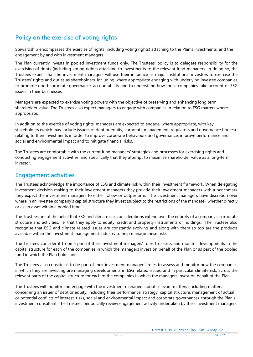# **Policy on the exercise of voting rights**

Stewardship encompasses the exercise of rights (including voting rights) attaching to the Plan's investments, and the engagement by and with investment managers.

The Plan currently invests in pooled investment funds only. The Trustees' policy is to delegate responsibility for the exercising of rights (including voting rights) attaching to investments to the relevant fund managers. In doing so, the Trustees expect that the investment managers will use their influence as major institutional investors to exercise the Trustees' rights and duties as shareholders, including where appropriate engaging with underlying investee companies to promote good corporate governance, accountability and to understand how those companies take account of ESG issues in their businesses.

Managers are expected to exercise voting powers with the objective of preserving and enhancing long term shareholder value. The Trustees also expect managers to engage with companies in relation to ESG matters where appropriate.

In addition to the exercise of voting rights, managers are expected to engage, where appropriate, with key stakeholders (which may include issuers of debt or equity, corporate management, regulators and governance bodies) relating to their investments in order to improve corporate behaviours and governance, improve performance and social and environmental impact and to mitigate financial risks.

The Trustees are comfortable with the current fund managers' strategies and processes for exercising rights and conducting engagement activities, and specifically that they attempt to maximise shareholder value as a long-term investor.

#### **Engagement activities**

The Trustees acknowledge the importance of ESG and climate risk within their investment framework. When delegating investment decision making to their investment managers they provide their investment managers with a benchmark they expect the investment managers to either follow or outperform. The investment managers have discretion over where in an investee company's capital structure they invest (subject to the restrictions of the mandate), whether directly or as an asset within a pooled fund.

The Trustees are of the belief that ESG and climate risk considerations extend over the entirety of a company's corporate structure and activities, i.e. that they apply to equity, credit and property instruments or holdings. The Trustees also recognise that ESG and climate related issues are constantly evolving and along with them so too are the products available within the investment management industry to help manage these risks.

The Trustees consider it to be a part of their investment managers' roles to assess and monitor developments in the capital structure for each of the companies in which the managers invest on behalf of the Plan or as part of the pooled fund in which the Plan holds units.

The Trustees also consider it to be part of their investment managers' roles to assess and monitor how the companies in which they are investing are managing developments in ESG related issues, and in particular climate risk, across the relevant parts of the capital structure for each of the companies in which the managers invest on behalf of the Plan.

The Trustees will monitor and engage with the investment managers about relevant matters (including matters concerning an issuer of debt or equity, including their performance, strategy, capital structure, management of actual or potential conflicts of interest, risks, social and environmental impact and corporate governance), through the Plan's investment consultant. The Trustees periodically review engagement activity undertaken by their investment managers